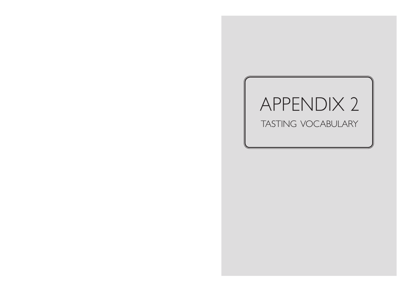## APPENDIX 2 TASTING VOCABULARY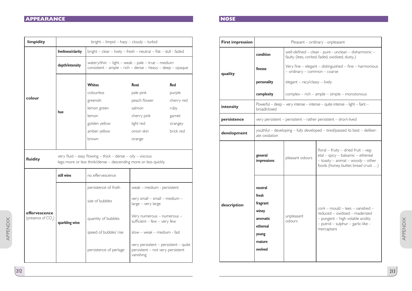## *APPEARANCE* **NOSE**

| limpidity                                       | bright - limpid - hazy - cloudy - turbid                                                                                                 |                                                                                                                            |                                                                                       |            |  |
|-------------------------------------------------|------------------------------------------------------------------------------------------------------------------------------------------|----------------------------------------------------------------------------------------------------------------------------|---------------------------------------------------------------------------------------|------------|--|
|                                                 | liveliness/clarity                                                                                                                       | $bright - clear - lively - fresh - neutral - flat - dull - faded$                                                          |                                                                                       |            |  |
|                                                 | depth/intensity                                                                                                                          | watery/thin $-$ light $-$ weak $-$ pale $-$ true $-$ medium<br>$consistent - ample - rich - dense - heavy - deep - opaque$ |                                                                                       |            |  |
|                                                 | hue                                                                                                                                      | <b>Whites</b>                                                                                                              | Rosé                                                                                  | <b>Red</b> |  |
| colour                                          |                                                                                                                                          | colourless                                                                                                                 | pale pink                                                                             | purple     |  |
|                                                 |                                                                                                                                          | greenish                                                                                                                   | peach flower                                                                          | cherry red |  |
|                                                 |                                                                                                                                          | lemon green                                                                                                                | salmon                                                                                | ruby       |  |
|                                                 |                                                                                                                                          | lemon                                                                                                                      | cherry pink                                                                           | garnet     |  |
|                                                 |                                                                                                                                          | golden yellow                                                                                                              | light red                                                                             | orangey    |  |
|                                                 |                                                                                                                                          | amber yellow                                                                                                               | onion skin                                                                            | brick red  |  |
|                                                 |                                                                                                                                          | brown                                                                                                                      | orange                                                                                |            |  |
|                                                 |                                                                                                                                          |                                                                                                                            |                                                                                       |            |  |
| fluidity                                        | very fluid $-$ easy flowing $-$ thick $-$ dense $-$ oily $-$ viscous<br>legs: more or less think/dense - descending more or less quickly |                                                                                                                            |                                                                                       |            |  |
| effervescence<br>(presence of CO <sub>2</sub> ) | still wine                                                                                                                               | no effervescence                                                                                                           |                                                                                       |            |  |
|                                                 | sparkling wine                                                                                                                           | persistence of froth                                                                                                       | weak - medium - persistent                                                            |            |  |
|                                                 |                                                                                                                                          | size of bubbles                                                                                                            | very small - small - medium -<br>large - very large                                   |            |  |
|                                                 |                                                                                                                                          | quantity of bubbles                                                                                                        | Very numerous - numerous -<br>sufficient $-$ few $-$ very few                         |            |  |
|                                                 |                                                                                                                                          | speed of bubbles' rise                                                                                                     | $slow - weak - medium - fast$                                                         |            |  |
|                                                 |                                                                                                                                          | persistence of perlage                                                                                                     | very persistent - persistent - quite<br>persistent - not very persistent<br>vanishing |            |  |

| <b>First impression</b> | Pleasant - ordinary - unpleasant                                                            |                                                                                                        |                                                                                                                                                                      |  |
|-------------------------|---------------------------------------------------------------------------------------------|--------------------------------------------------------------------------------------------------------|----------------------------------------------------------------------------------------------------------------------------------------------------------------------|--|
| quality                 | condition                                                                                   | well-defined - clean - pure - unclean - disharmonic -<br>faulty (lees, corked, faded, oxidized, dusty) |                                                                                                                                                                      |  |
|                         | finesse                                                                                     | Very fine - elegant - distinguished - fine - harmonious<br>- ordinary - common - coarse                |                                                                                                                                                                      |  |
|                         | personality                                                                                 | elegant - racy/classy - lively                                                                         |                                                                                                                                                                      |  |
|                         | complexity                                                                                  | complex - rich - ample - simple - monotonous                                                           |                                                                                                                                                                      |  |
| intensity               | Powerful - deep - very intense - intense - quite intense - light - faint -<br>broad/closed  |                                                                                                        |                                                                                                                                                                      |  |
| persistence             | very persistent - persistent - rather persistent - short-lived                              |                                                                                                        |                                                                                                                                                                      |  |
| development             | youthful - developing - fully developed - tired/passed its best - deliber-<br>ate oxidation |                                                                                                        |                                                                                                                                                                      |  |
|                         | general<br>impressions                                                                      | pleasant odours                                                                                        | floral - fruity - dried fruit - veg-<br>etal - spicy - balsamic - ethereal<br>$-$ toasty $-$ animal $-$ woody $-$ other<br>foods (honey, butter, bread crust )       |  |
| description             | neutral<br>fresh<br>fragrant<br>winey<br>aromatic<br>ethereal<br>young<br>mature<br>evolved | unpleasant<br>odours                                                                                   | $\text{cork}$ – mould – lees – vanished –<br>reduced - oxidised - maderized<br>- pungent - high volatile acidity<br>- putrid - sulphur - garlic-like -<br>mercaptans |  |

APPENDIX

APPENDIX